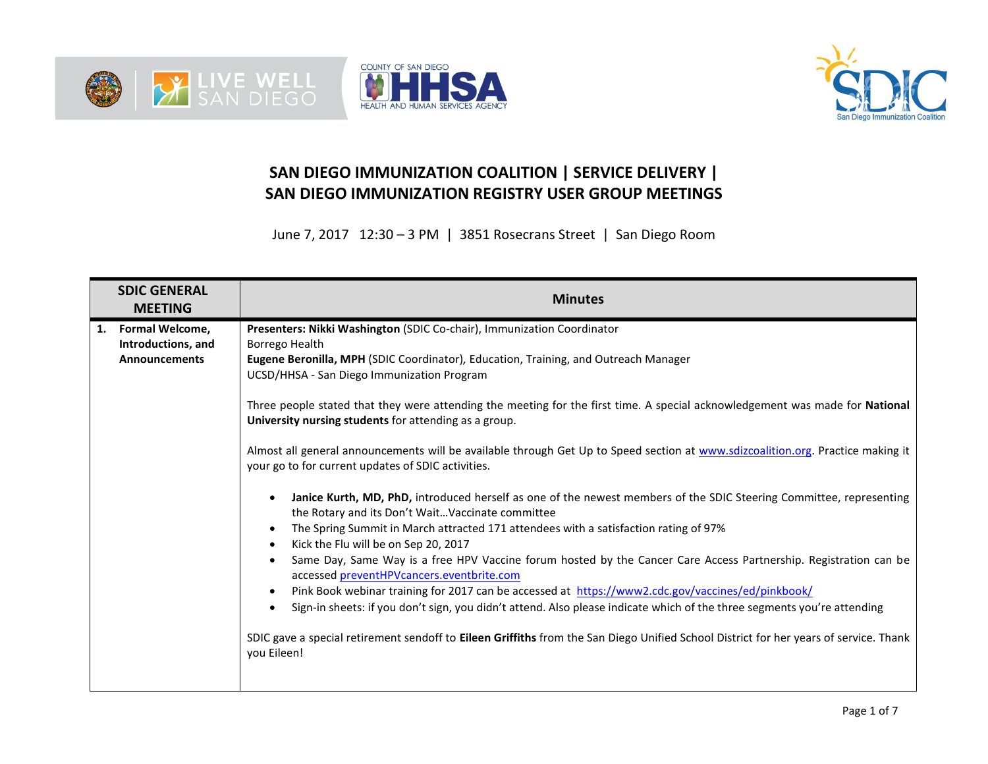





## **SAN DIEGO IMMUNIZATION COALITION | SERVICE DELIVERY | SAN DIEGO IMMUNIZATION REGISTRY USER GROUP MEETINGS**

June 7, 2017 12:30 – 3 PM | 3851 Rosecrans Street | San Diego Room

| <b>SDIC GENERAL</b><br><b>MEETING</b>                               | <b>Minutes</b>                                                                                                                                                                                                                                                                                                                                                                                                                                                                                                                                                                                                                                                                                                                                                                                                                                                                                                                                                                                                                                                                                                                                                                                                                                                                                                                                                                                                                                                                                                                                                    |
|---------------------------------------------------------------------|-------------------------------------------------------------------------------------------------------------------------------------------------------------------------------------------------------------------------------------------------------------------------------------------------------------------------------------------------------------------------------------------------------------------------------------------------------------------------------------------------------------------------------------------------------------------------------------------------------------------------------------------------------------------------------------------------------------------------------------------------------------------------------------------------------------------------------------------------------------------------------------------------------------------------------------------------------------------------------------------------------------------------------------------------------------------------------------------------------------------------------------------------------------------------------------------------------------------------------------------------------------------------------------------------------------------------------------------------------------------------------------------------------------------------------------------------------------------------------------------------------------------------------------------------------------------|
| Formal Welcome,<br>1.<br>Introductions, and<br><b>Announcements</b> | Presenters: Nikki Washington (SDIC Co-chair), Immunization Coordinator<br>Borrego Health<br>Eugene Beronilla, MPH (SDIC Coordinator), Education, Training, and Outreach Manager<br>UCSD/HHSA - San Diego Immunization Program<br>Three people stated that they were attending the meeting for the first time. A special acknowledgement was made for National<br>University nursing students for attending as a group.<br>Almost all general announcements will be available through Get Up to Speed section at www.sdizcoalition.org. Practice making it<br>your go to for current updates of SDIC activities.<br>Janice Kurth, MD, PhD, introduced herself as one of the newest members of the SDIC Steering Committee, representing<br>$\bullet$<br>the Rotary and its Don't WaitVaccinate committee<br>The Spring Summit in March attracted 171 attendees with a satisfaction rating of 97%<br>$\bullet$<br>Kick the Flu will be on Sep 20, 2017<br>$\bullet$<br>Same Day, Same Way is a free HPV Vaccine forum hosted by the Cancer Care Access Partnership. Registration can be<br>$\bullet$<br>accessed preventHPVcancers.eventbrite.com<br>Pink Book webinar training for 2017 can be accessed at https://www2.cdc.gov/vaccines/ed/pinkbook/<br>$\bullet$<br>Sign-in sheets: if you don't sign, you didn't attend. Also please indicate which of the three segments you're attending<br>$\bullet$<br>SDIC gave a special retirement sendoff to Eileen Griffiths from the San Diego Unified School District for her years of service. Thank<br>you Eileen! |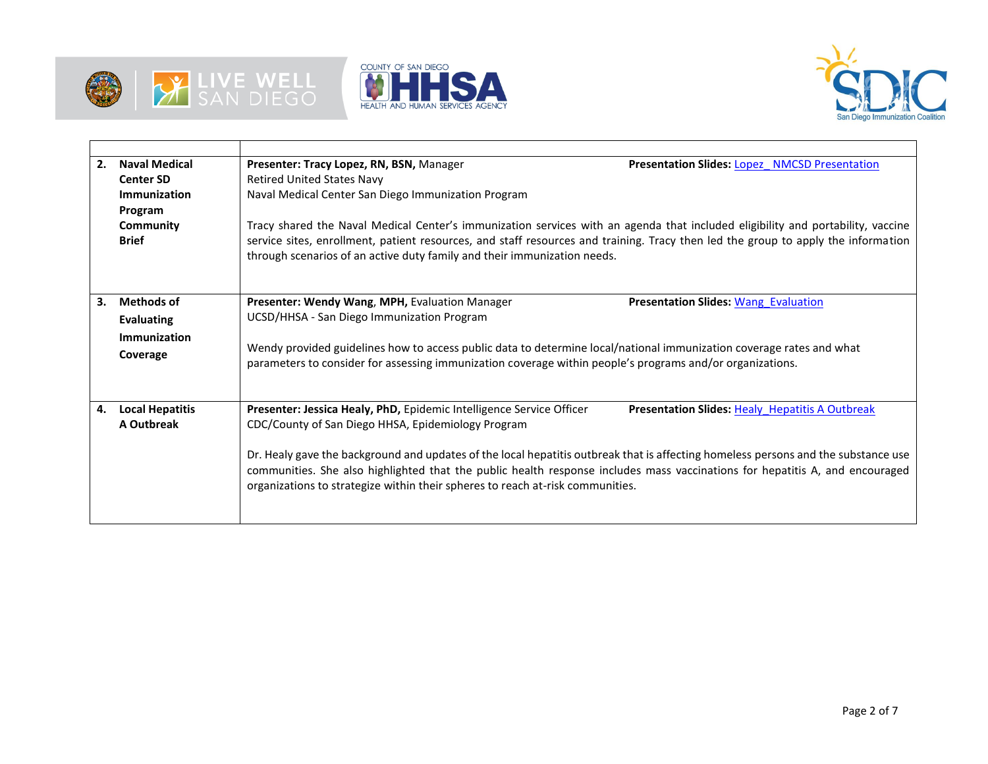





| 2. | <b>Naval Medical</b><br><b>Center SD</b><br>Immunization<br>Program<br>Community<br><b>Brief</b> | Presenter: Tracy Lopez, RN, BSN, Manager<br><b>Retired United States Navy</b><br>Naval Medical Center San Diego Immunization Program<br>through scenarios of an active duty family and their immunization needs.                                                                                                                  | <b>Presentation Slides: Lopez NMCSD Presentation</b><br>Tracy shared the Naval Medical Center's immunization services with an agenda that included eligibility and portability, vaccine<br>service sites, enrollment, patient resources, and staff resources and training. Tracy then led the group to apply the information |
|----|--------------------------------------------------------------------------------------------------|-----------------------------------------------------------------------------------------------------------------------------------------------------------------------------------------------------------------------------------------------------------------------------------------------------------------------------------|------------------------------------------------------------------------------------------------------------------------------------------------------------------------------------------------------------------------------------------------------------------------------------------------------------------------------|
| 3. | <b>Methods of</b><br><b>Evaluating</b><br>Immunization<br>Coverage                               | Presenter: Wendy Wang, MPH, Evaluation Manager<br>UCSD/HHSA - San Diego Immunization Program<br>Wendy provided guidelines how to access public data to determine local/national immunization coverage rates and what<br>parameters to consider for assessing immunization coverage within people's programs and/or organizations. | <b>Presentation Slides: Wang Evaluation</b>                                                                                                                                                                                                                                                                                  |
| 4. | <b>Local Hepatitis</b><br>A Outbreak                                                             | Presenter: Jessica Healy, PhD, Epidemic Intelligence Service Officer<br>CDC/County of San Diego HHSA, Epidemiology Program<br>organizations to strategize within their spheres to reach at-risk communities.                                                                                                                      | <b>Presentation Slides: Healy Hepatitis A Outbreak</b><br>Dr. Healy gave the background and updates of the local hepatitis outbreak that is affecting homeless persons and the substance use<br>communities. She also highlighted that the public health response includes mass vaccinations for hepatitis A, and encouraged |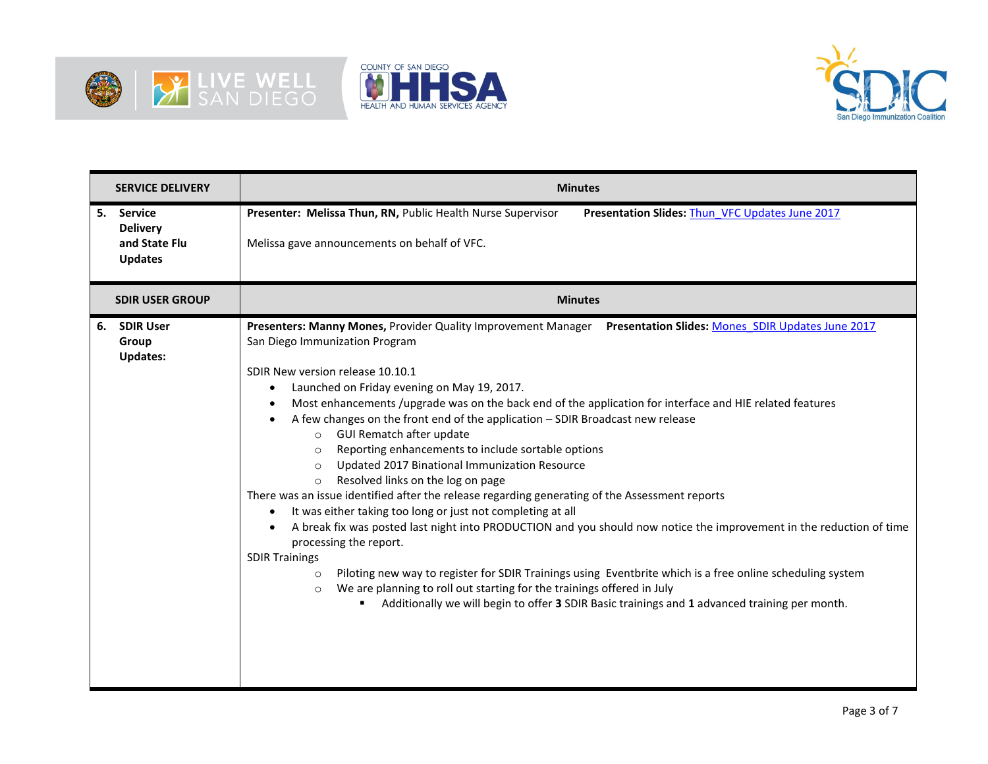





|    | <b>SERVICE DELIVERY</b>                                              | <b>Minutes</b>                                                                                                                                                                                                                                                                                                                                                                                                                                                                                                                                                                                                                                                                                                                                                                                                                                                                                                                                                                                                                                                                                                                                                                                                                                                                                                                                                 |
|----|----------------------------------------------------------------------|----------------------------------------------------------------------------------------------------------------------------------------------------------------------------------------------------------------------------------------------------------------------------------------------------------------------------------------------------------------------------------------------------------------------------------------------------------------------------------------------------------------------------------------------------------------------------------------------------------------------------------------------------------------------------------------------------------------------------------------------------------------------------------------------------------------------------------------------------------------------------------------------------------------------------------------------------------------------------------------------------------------------------------------------------------------------------------------------------------------------------------------------------------------------------------------------------------------------------------------------------------------------------------------------------------------------------------------------------------------|
| 5. | <b>Service</b><br><b>Delivery</b><br>and State Flu<br><b>Updates</b> | Presenter: Melissa Thun, RN, Public Health Nurse Supervisor<br>Presentation Slides: Thun VFC Updates June 2017<br>Melissa gave announcements on behalf of VFC.                                                                                                                                                                                                                                                                                                                                                                                                                                                                                                                                                                                                                                                                                                                                                                                                                                                                                                                                                                                                                                                                                                                                                                                                 |
|    | <b>SDIR USER GROUP</b>                                               | <b>Minutes</b>                                                                                                                                                                                                                                                                                                                                                                                                                                                                                                                                                                                                                                                                                                                                                                                                                                                                                                                                                                                                                                                                                                                                                                                                                                                                                                                                                 |
| 6. | <b>SDIR User</b><br>Group<br><b>Updates:</b>                         | Presenters: Manny Mones, Provider Quality Improvement Manager Presentation Slides: Mones SDIR Updates June 2017<br>San Diego Immunization Program<br>SDIR New version release 10.10.1<br>Launched on Friday evening on May 19, 2017.<br>$\bullet$<br>Most enhancements /upgrade was on the back end of the application for interface and HIE related features<br>$\bullet$<br>A few changes on the front end of the application - SDIR Broadcast new release<br><b>GUI Rematch after update</b><br>$\circ$<br>Reporting enhancements to include sortable options<br>$\circ$<br>Updated 2017 Binational Immunization Resource<br>$\circ$<br>Resolved links on the log on page<br>$\circ$<br>There was an issue identified after the release regarding generating of the Assessment reports<br>It was either taking too long or just not completing at all<br>$\bullet$<br>A break fix was posted last night into PRODUCTION and you should now notice the improvement in the reduction of time<br>processing the report.<br><b>SDIR Trainings</b><br>Piloting new way to register for SDIR Trainings using Eventbrite which is a free online scheduling system<br>$\circ$<br>We are planning to roll out starting for the trainings offered in July<br>$\circ$<br>Additionally we will begin to offer 3 SDIR Basic trainings and 1 advanced training per month. |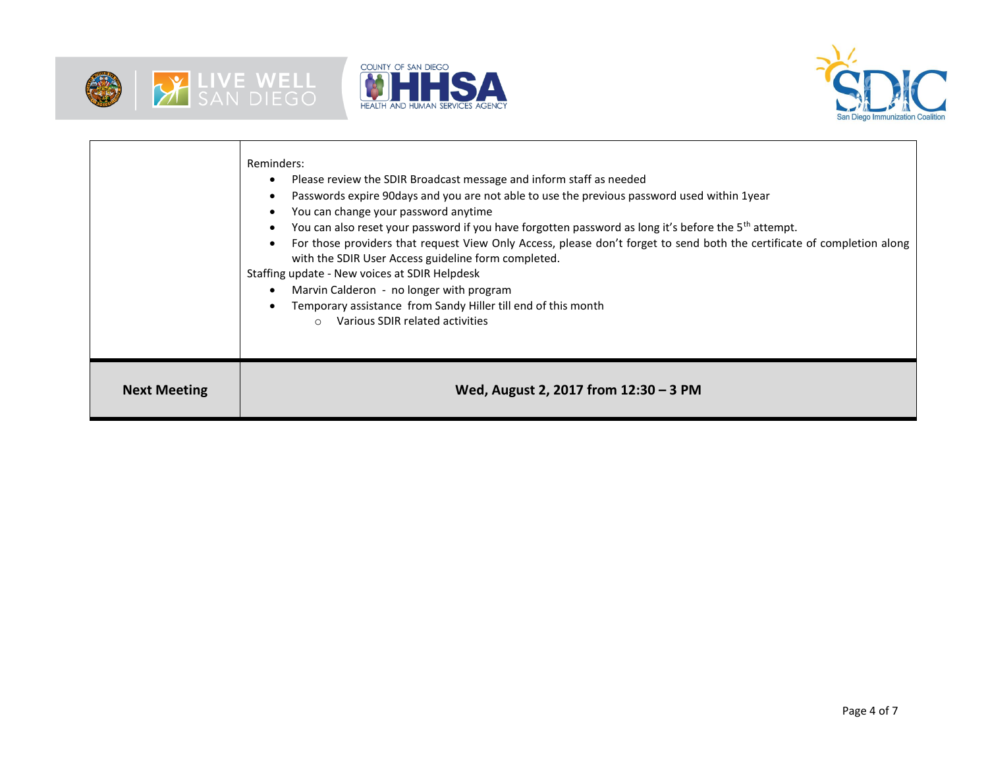





|                     | Reminders:<br>Please review the SDIR Broadcast message and inform staff as needed<br>Passwords expire 90days and you are not able to use the previous password used within 1year<br>You can change your password anytime<br>You can also reset your password if you have forgotten password as long it's before the 5 <sup>th</sup> attempt.<br>For those providers that request View Only Access, please don't forget to send both the certificate of completion along<br>with the SDIR User Access guideline form completed.<br>Staffing update - New voices at SDIR Helpdesk<br>Marvin Calderon - no longer with program<br>Temporary assistance from Sandy Hiller till end of this month<br>Various SDIR related activities<br>$\circ$ |
|---------------------|--------------------------------------------------------------------------------------------------------------------------------------------------------------------------------------------------------------------------------------------------------------------------------------------------------------------------------------------------------------------------------------------------------------------------------------------------------------------------------------------------------------------------------------------------------------------------------------------------------------------------------------------------------------------------------------------------------------------------------------------|
| <b>Next Meeting</b> | Wed, August 2, 2017 from 12:30 - 3 PM                                                                                                                                                                                                                                                                                                                                                                                                                                                                                                                                                                                                                                                                                                      |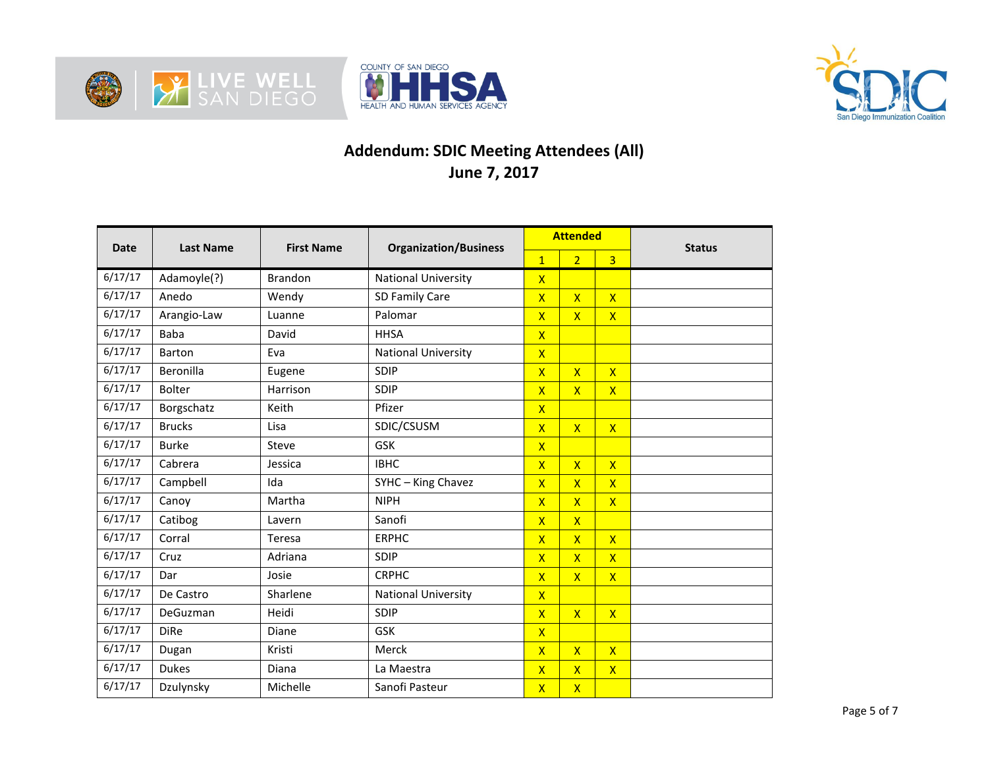





## **Addendum: SDIC Meeting Attendees (All) June 7, 2017**

| <b>Date</b> | <b>Last Name</b> | <b>First Name</b> | <b>Organization/Business</b> | <b>Attended</b>         |                         |                         | <b>Status</b> |
|-------------|------------------|-------------------|------------------------------|-------------------------|-------------------------|-------------------------|---------------|
|             |                  |                   |                              | $\mathbf{1}$            | $\overline{2}$          | $\overline{3}$          |               |
| 6/17/17     | Adamoyle(?)      | <b>Brandon</b>    | <b>National University</b>   | $\mathsf{X}$            |                         |                         |               |
| 6/17/17     | Anedo            | Wendy             | SD Family Care               | $\overline{X}$          | $\mathsf{X}$            | $\mathsf{X}$            |               |
| 6/17/17     | Arangio-Law      | Luanne            | Palomar                      | $\overline{X}$          | $\mathsf{X}$            | $\mathsf{X}$            |               |
| 6/17/17     | Baba             | David             | <b>HHSA</b>                  | $\mathsf{X}$            |                         |                         |               |
| 6/17/17     | Barton           | Eva               | <b>National University</b>   | $\overline{\mathsf{X}}$ |                         |                         |               |
| 6/17/17     | Beronilla        | Eugene            | SDIP                         | $\mathsf{x}$            | $\overline{\mathsf{X}}$ | $\mathsf{X}$            |               |
| 6/17/17     | <b>Bolter</b>    | Harrison          | SDIP                         | $\overline{\mathsf{X}}$ | $\overline{\mathsf{x}}$ | $\overline{X}$          |               |
| 6/17/17     | Borgschatz       | Keith             | Pfizer                       | $\overline{\mathsf{X}}$ |                         |                         |               |
| 6/17/17     | <b>Brucks</b>    | Lisa              | SDIC/CSUSM                   | $\overline{\mathsf{x}}$ | $\overline{\mathsf{x}}$ | $\overline{\mathsf{x}}$ |               |
| 6/17/17     | <b>Burke</b>     | Steve             | <b>GSK</b>                   | $\overline{\mathsf{x}}$ |                         |                         |               |
| 6/17/17     | Cabrera          | Jessica           | <b>IBHC</b>                  | $\overline{\mathsf{X}}$ | $\overline{\mathsf{X}}$ | $\mathsf{X}$            |               |
| 6/17/17     | Campbell         | Ida               | SYHC - King Chavez           | $\overline{\mathsf{X}}$ | $\overline{\mathsf{X}}$ | $\overline{\mathsf{x}}$ |               |
| 6/17/17     | Canoy            | Martha            | <b>NIPH</b>                  | $\overline{\mathsf{X}}$ | $\overline{\mathsf{X}}$ | $\mathsf{X}$            |               |
| 6/17/17     | Catibog          | Lavern            | Sanofi                       | $\overline{X}$          | $\overline{\mathsf{X}}$ |                         |               |
| 6/17/17     | Corral           | Teresa            | <b>ERPHC</b>                 | $\overline{X}$          | $\overline{\mathsf{X}}$ | $\mathsf{X}$            |               |
| 6/17/17     | Cruz             | Adriana           | SDIP                         | $\overline{X}$          | $\overline{\mathsf{x}}$ | $\overline{\mathsf{x}}$ |               |
| 6/17/17     | Dar              | Josie             | <b>CRPHC</b>                 | $\overline{\mathsf{X}}$ | $\overline{\mathsf{x}}$ | $\mathsf{X}$            |               |
| 6/17/17     | De Castro        | Sharlene          | <b>National University</b>   | $\overline{\mathsf{X}}$ |                         |                         |               |
| 6/17/17     | DeGuzman         | Heidi             | SDIP                         | $\overline{X}$          | $\overline{X}$          | $\overline{\mathsf{x}}$ |               |
| 6/17/17     | <b>DiRe</b>      | Diane             | <b>GSK</b>                   | $\mathsf{X}$            |                         |                         |               |
| 6/17/17     | Dugan            | Kristi            | Merck                        | $\overline{X}$          | $\overline{X}$          | $\mathsf{X}$            |               |
| 6/17/17     | <b>Dukes</b>     | Diana             | La Maestra                   | $\overline{\mathsf{X}}$ | $\mathsf{x}$            | $\mathsf{X}$            |               |
| 6/17/17     | Dzulynsky        | Michelle          | Sanofi Pasteur               | $\overline{\mathsf{X}}$ | $\mathsf{X}$            |                         |               |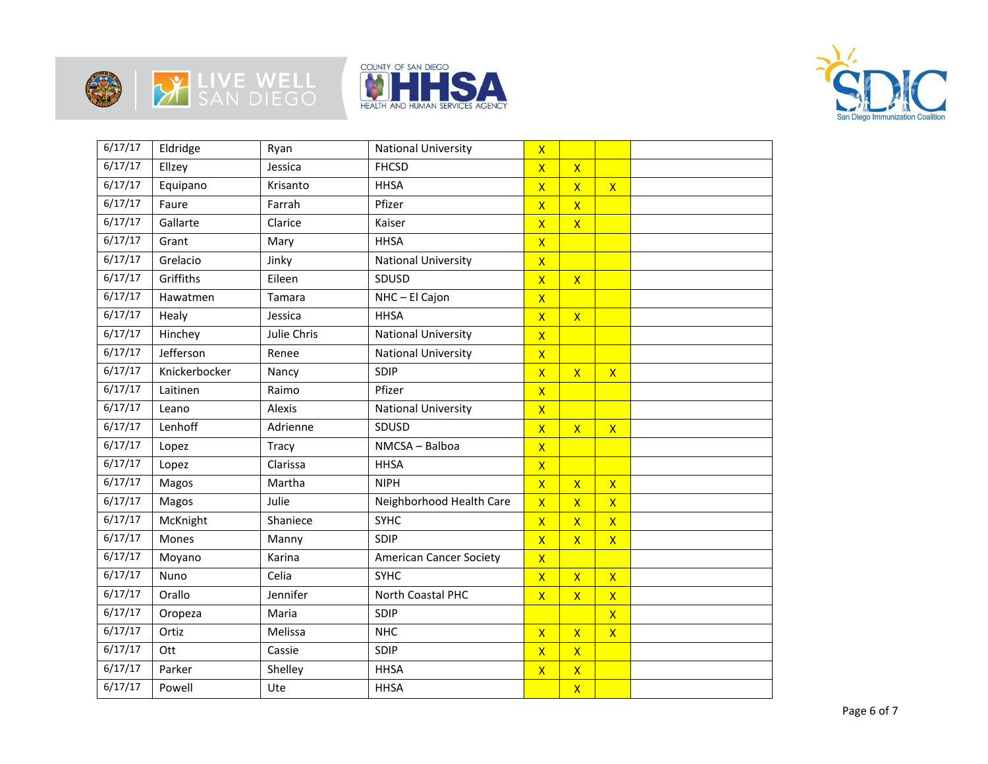







| 6/17/17 | Eldridge      | Ryan        | <b>National University</b>     | $\overline{\mathsf{x}}$ |                         |                         |  |
|---------|---------------|-------------|--------------------------------|-------------------------|-------------------------|-------------------------|--|
| 6/17/17 | Ellzey        | Jessica     | <b>FHCSD</b>                   | $\overline{\mathsf{x}}$ | $\overline{\mathsf{x}}$ |                         |  |
| 6/17/17 | Equipano      | Krisanto    | <b>HHSA</b>                    | $\overline{\mathsf{X}}$ | $\overline{\mathsf{X}}$ | $\mathsf{X}$            |  |
| 6/17/17 | Faure         | Farrah      | Pfizer                         | $\overline{\mathsf{x}}$ | $\overline{\mathsf{x}}$ |                         |  |
| 6/17/17 | Gallarte      | Clarice     | Kaiser                         | $\overline{\mathsf{x}}$ | $\mathsf{X}$            |                         |  |
| 6/17/17 | Grant         | Mary        | <b>HHSA</b>                    | $\mathsf{x}$            |                         |                         |  |
| 6/17/17 | Grelacio      | Jinky       | <b>National University</b>     | $\overline{\mathsf{x}}$ |                         |                         |  |
| 6/17/17 | Griffiths     | Eileen      | SDUSD                          | $\overline{\mathsf{X}}$ | $\mathsf{X}$            |                         |  |
| 6/17/17 | Hawatmen      | Tamara      | NHC-El Cajon                   | $\overline{\mathsf{x}}$ |                         |                         |  |
| 6/17/17 | Healy         | Jessica     | <b>HHSA</b>                    | $\overline{\mathsf{x}}$ | $\mathsf{X}$            |                         |  |
| 6/17/17 | Hinchey       | Julie Chris | <b>National University</b>     | $\mathsf{X}$            |                         |                         |  |
| 6/17/17 | Jefferson     | Renee       | <b>National University</b>     | $\mathsf{x}$            |                         |                         |  |
| 6/17/17 | Knickerbocker | Nancy       | SDIP                           | $\overline{\mathsf{X}}$ | $\overline{\mathsf{X}}$ | $\mathsf{X}$            |  |
| 6/17/17 | Laitinen      | Raimo       | Pfizer                         | $\overline{\mathsf{x}}$ |                         |                         |  |
| 6/17/17 | Leano         | Alexis      | <b>National University</b>     | $\overline{\mathsf{x}}$ |                         |                         |  |
| 6/17/17 | Lenhoff       | Adrienne    | SDUSD                          | $\overline{\mathsf{X}}$ | $\mathsf{X}$            | $\mathsf{X}$            |  |
| 6/17/17 | Lopez         | Tracy       | NMCSA - Balboa                 | $\overline{\mathsf{x}}$ |                         |                         |  |
| 6/17/17 | Lopez         | Clarissa    | <b>HHSA</b>                    | $\mathsf{X}$            |                         |                         |  |
| 6/17/17 | Magos         | Martha      | <b>NIPH</b>                    | $\overline{\mathsf{X}}$ | $\overline{\mathsf{x}}$ | $\mathsf{X}$            |  |
| 6/17/17 | Magos         | Julie       | Neighborhood Health Care       | $\overline{\mathsf{x}}$ | $\overline{\mathsf{X}}$ | $\overline{\mathsf{X}}$ |  |
| 6/17/17 | McKnight      | Shaniece    | <b>SYHC</b>                    | $\overline{\mathsf{X}}$ | $\overline{\mathsf{X}}$ | $\mathsf{X}$            |  |
| 6/17/17 | Mones         | Manny       | SDIP                           | $\pmb{\mathsf{X}}$      | $\mathsf{X}$            | $\mathsf{X}$            |  |
| 6/17/17 | Moyano        | Karina      | <b>American Cancer Society</b> | $\overline{\mathsf{x}}$ |                         |                         |  |
| 6/17/17 | Nuno          | Celia       | <b>SYHC</b>                    | $\mathsf{X}$            | $\mathsf{X}$            | $\mathsf{X}$            |  |
| 6/17/17 | Orallo        | Jennifer    | North Coastal PHC              | $\overline{\mathsf{X}}$ | $\overline{\mathsf{X}}$ | $\mathsf{X}$            |  |
| 6/17/17 | Oropeza       | Maria       | SDIP                           |                         |                         | $\mathsf{X}$            |  |
| 6/17/17 | Ortiz         | Melissa     | <b>NHC</b>                     | $\overline{\mathsf{X}}$ | $\overline{\mathsf{X}}$ | $\mathsf{X}$            |  |
| 6/17/17 | Ott           | Cassie      | SDIP                           | $\overline{\mathsf{x}}$ | $\overline{\mathsf{x}}$ |                         |  |
| 6/17/17 | Parker        | Shelley     | <b>HHSA</b>                    | $\overline{\mathsf{X}}$ | $\mathsf{X}$            |                         |  |
| 6/17/17 | Powell        | Ute         | <b>HHSA</b>                    |                         | $\overline{\mathsf{X}}$ |                         |  |
|         |               |             |                                |                         |                         |                         |  |